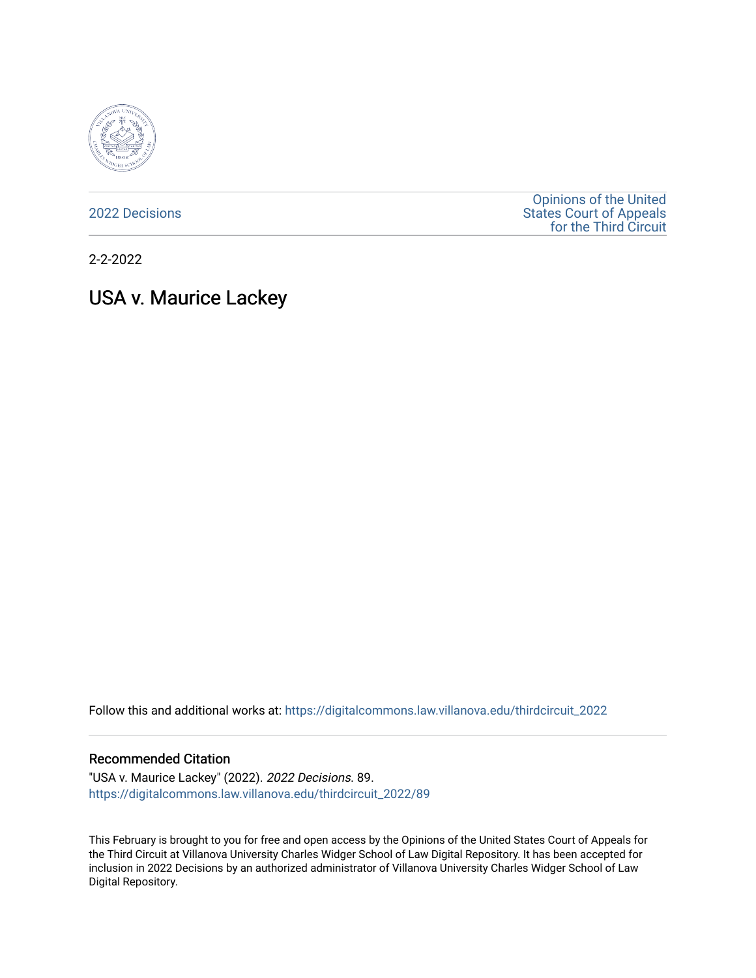

[2022 Decisions](https://digitalcommons.law.villanova.edu/thirdcircuit_2022)

[Opinions of the United](https://digitalcommons.law.villanova.edu/thirdcircuit)  [States Court of Appeals](https://digitalcommons.law.villanova.edu/thirdcircuit)  [for the Third Circuit](https://digitalcommons.law.villanova.edu/thirdcircuit) 

2-2-2022

# USA v. Maurice Lackey

Follow this and additional works at: [https://digitalcommons.law.villanova.edu/thirdcircuit\\_2022](https://digitalcommons.law.villanova.edu/thirdcircuit_2022?utm_source=digitalcommons.law.villanova.edu%2Fthirdcircuit_2022%2F89&utm_medium=PDF&utm_campaign=PDFCoverPages) 

#### Recommended Citation

"USA v. Maurice Lackey" (2022). 2022 Decisions. 89. [https://digitalcommons.law.villanova.edu/thirdcircuit\\_2022/89](https://digitalcommons.law.villanova.edu/thirdcircuit_2022/89?utm_source=digitalcommons.law.villanova.edu%2Fthirdcircuit_2022%2F89&utm_medium=PDF&utm_campaign=PDFCoverPages)

This February is brought to you for free and open access by the Opinions of the United States Court of Appeals for the Third Circuit at Villanova University Charles Widger School of Law Digital Repository. It has been accepted for inclusion in 2022 Decisions by an authorized administrator of Villanova University Charles Widger School of Law Digital Repository.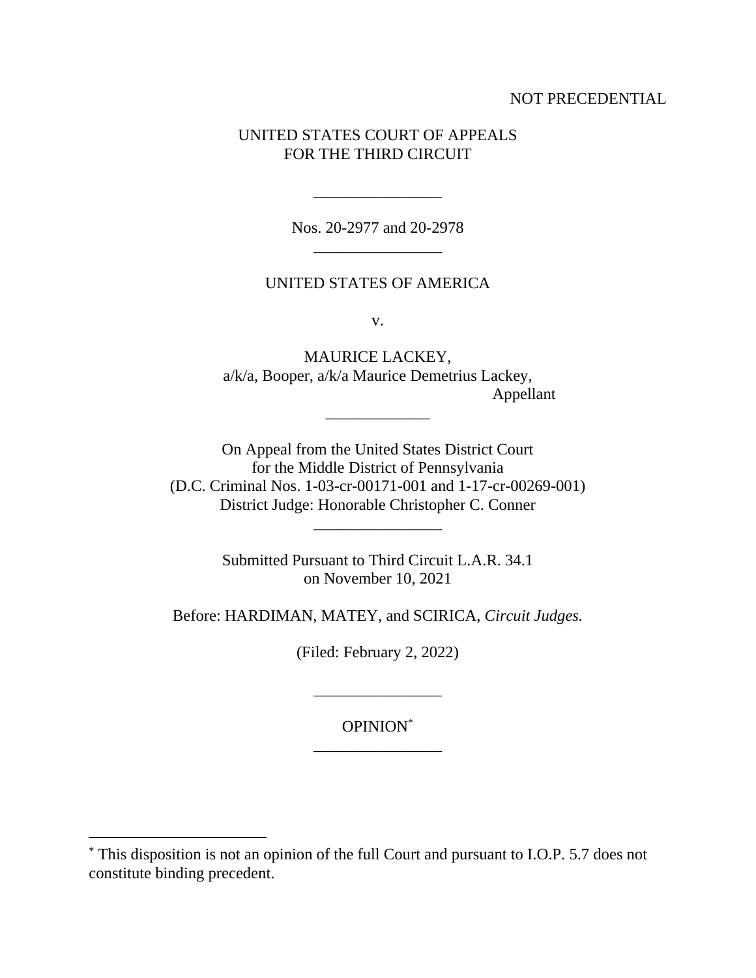## NOT PRECEDENTIAL

## UNITED STATES COURT OF APPEALS FOR THE THIRD CIRCUIT

Nos. 20-2977 and 20-2978 \_\_\_\_\_\_\_\_\_\_\_\_\_\_\_\_

\_\_\_\_\_\_\_\_\_\_\_\_\_\_\_\_

#### UNITED STATES OF AMERICA

v.

MAURICE LACKEY, a/k/a, Booper, a/k/a Maurice Demetrius Lackey, Appellant

On Appeal from the United States District Court for the Middle District of Pennsylvania (D.C. Criminal Nos. 1-03-cr-00171-001 and 1-17-cr-00269-001) District Judge: Honorable Christopher C. Conner \_\_\_\_\_\_\_\_\_\_\_\_\_\_\_\_

\_\_\_\_\_\_\_\_\_\_\_\_\_

Submitted Pursuant to Third Circuit L.A.R. 34.1 on November 10, 2021

Before: HARDIMAN, MATEY, and SCIRICA, *Circuit Judges.*

(Filed: February 2, 2022)

OPINION\* \_\_\_\_\_\_\_\_\_\_\_\_\_\_\_\_

\_\_\_\_\_\_\_\_\_\_\_\_\_\_\_\_

<sup>\*</sup> This disposition is not an opinion of the full Court and pursuant to I.O.P. 5.7 does not constitute binding precedent.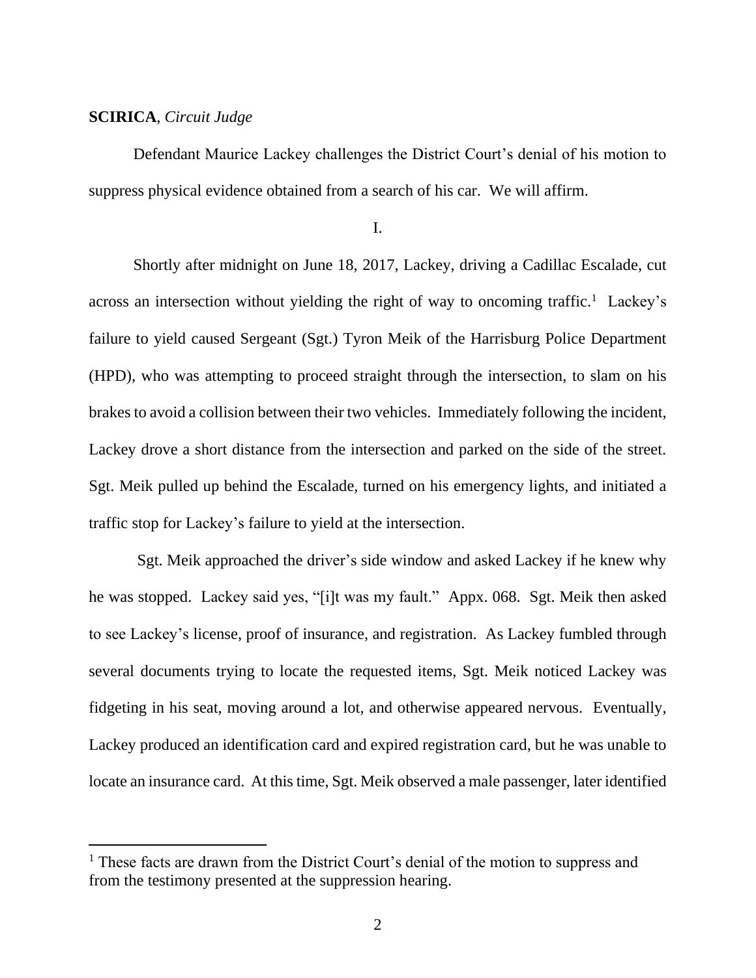### **SCIRICA**, *Circuit Judge*

Defendant Maurice Lackey challenges the District Court's denial of his motion to suppress physical evidence obtained from a search of his car. We will affirm.

I.

Shortly after midnight on June 18, 2017, Lackey, driving a Cadillac Escalade, cut across an intersection without yielding the right of way to oncoming traffic.<sup>1</sup> Lackey's failure to yield caused Sergeant (Sgt.) Tyron Meik of the Harrisburg Police Department (HPD), who was attempting to proceed straight through the intersection, to slam on his brakes to avoid a collision between their two vehicles. Immediately following the incident, Lackey drove a short distance from the intersection and parked on the side of the street. Sgt. Meik pulled up behind the Escalade, turned on his emergency lights, and initiated a traffic stop for Lackey's failure to yield at the intersection.

Sgt. Meik approached the driver's side window and asked Lackey if he knew why he was stopped. Lackey said yes, "[i]t was my fault." Appx. 068. Sgt. Meik then asked to see Lackey's license, proof of insurance, and registration. As Lackey fumbled through several documents trying to locate the requested items, Sgt. Meik noticed Lackey was fidgeting in his seat, moving around a lot, and otherwise appeared nervous. Eventually, Lackey produced an identification card and expired registration card, but he was unable to locate an insurance card. At this time, Sgt. Meik observed a male passenger, later identified

<sup>&</sup>lt;sup>1</sup> These facts are drawn from the District Court's denial of the motion to suppress and from the testimony presented at the suppression hearing.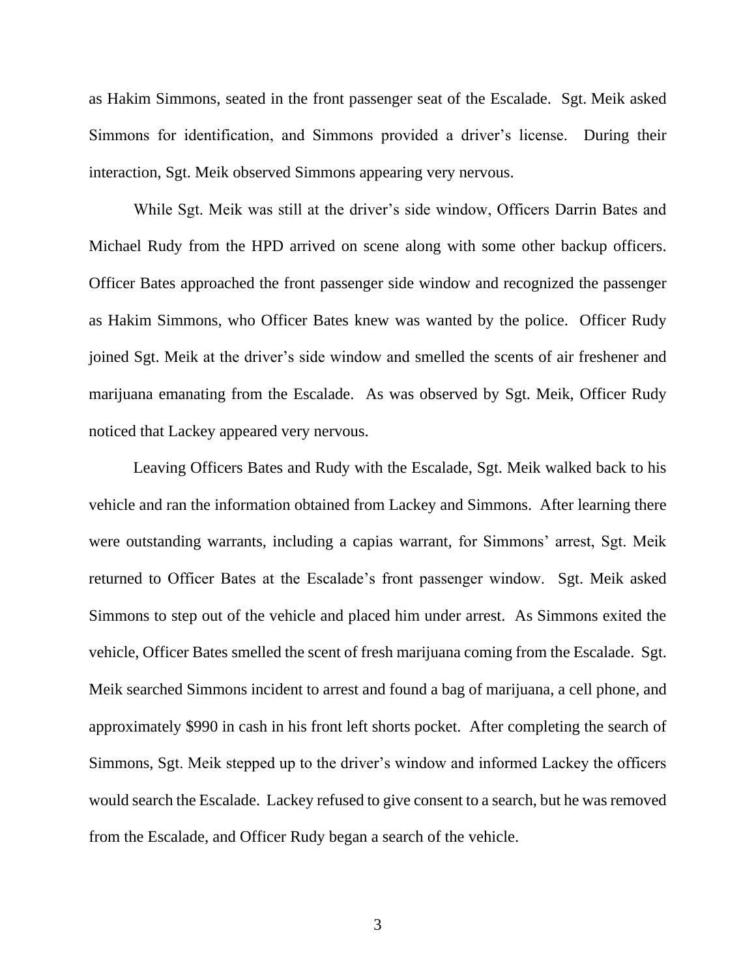as Hakim Simmons, seated in the front passenger seat of the Escalade. Sgt. Meik asked Simmons for identification, and Simmons provided a driver's license. During their interaction, Sgt. Meik observed Simmons appearing very nervous.

While Sgt. Meik was still at the driver's side window, Officers Darrin Bates and Michael Rudy from the HPD arrived on scene along with some other backup officers. Officer Bates approached the front passenger side window and recognized the passenger as Hakim Simmons, who Officer Bates knew was wanted by the police. Officer Rudy joined Sgt. Meik at the driver's side window and smelled the scents of air freshener and marijuana emanating from the Escalade. As was observed by Sgt. Meik, Officer Rudy noticed that Lackey appeared very nervous.

Leaving Officers Bates and Rudy with the Escalade, Sgt. Meik walked back to his vehicle and ran the information obtained from Lackey and Simmons. After learning there were outstanding warrants, including a capias warrant, for Simmons' arrest, Sgt. Meik returned to Officer Bates at the Escalade's front passenger window. Sgt. Meik asked Simmons to step out of the vehicle and placed him under arrest. As Simmons exited the vehicle, Officer Bates smelled the scent of fresh marijuana coming from the Escalade. Sgt. Meik searched Simmons incident to arrest and found a bag of marijuana, a cell phone, and approximately \$990 in cash in his front left shorts pocket. After completing the search of Simmons, Sgt. Meik stepped up to the driver's window and informed Lackey the officers would search the Escalade. Lackey refused to give consent to a search, but he was removed from the Escalade, and Officer Rudy began a search of the vehicle.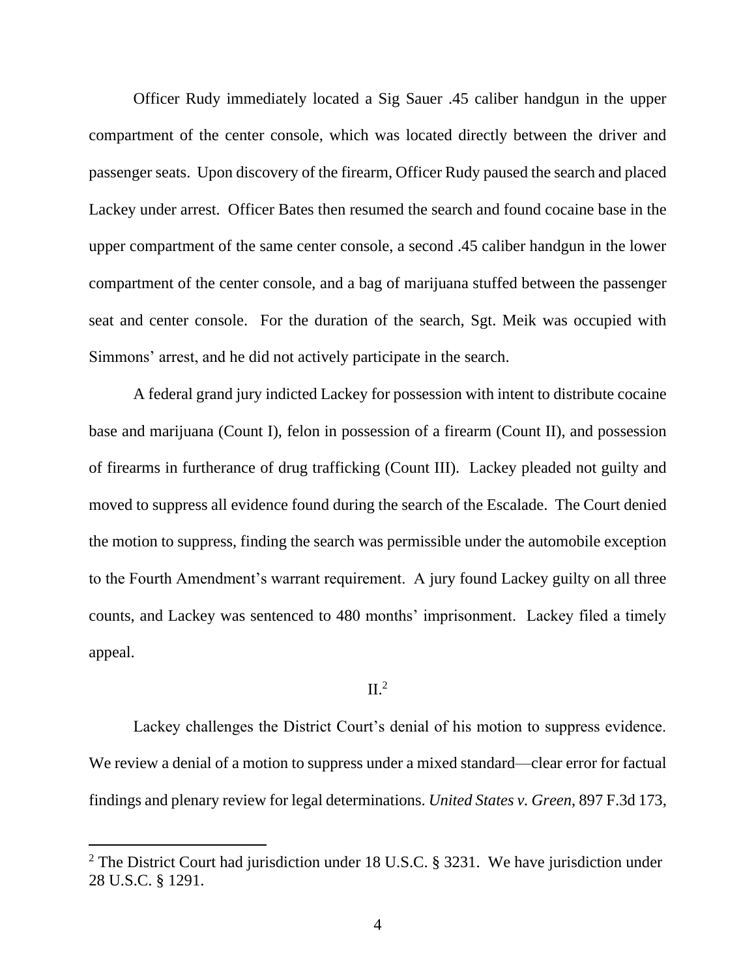Officer Rudy immediately located a Sig Sauer .45 caliber handgun in the upper compartment of the center console, which was located directly between the driver and passenger seats. Upon discovery of the firearm, Officer Rudy paused the search and placed Lackey under arrest. Officer Bates then resumed the search and found cocaine base in the upper compartment of the same center console, a second .45 caliber handgun in the lower compartment of the center console, and a bag of marijuana stuffed between the passenger seat and center console. For the duration of the search, Sgt. Meik was occupied with Simmons' arrest, and he did not actively participate in the search.

A federal grand jury indicted Lackey for possession with intent to distribute cocaine base and marijuana (Count I), felon in possession of a firearm (Count II), and possession of firearms in furtherance of drug trafficking (Count III). Lackey pleaded not guilty and moved to suppress all evidence found during the search of the Escalade. The Court denied the motion to suppress, finding the search was permissible under the automobile exception to the Fourth Amendment's warrant requirement. A jury found Lackey guilty on all three counts, and Lackey was sentenced to 480 months' imprisonment. Lackey filed a timely appeal.

## $II.<sup>2</sup>$

Lackey challenges the District Court's denial of his motion to suppress evidence. We review a denial of a motion to suppress under a mixed standard—clear error for factual findings and plenary review for legal determinations. *United States v. Green*, 897 F.3d 173,

<sup>&</sup>lt;sup>2</sup> The District Court had jurisdiction under 18 U.S.C. § 3231. We have jurisdiction under 28 U.S.C. § 1291.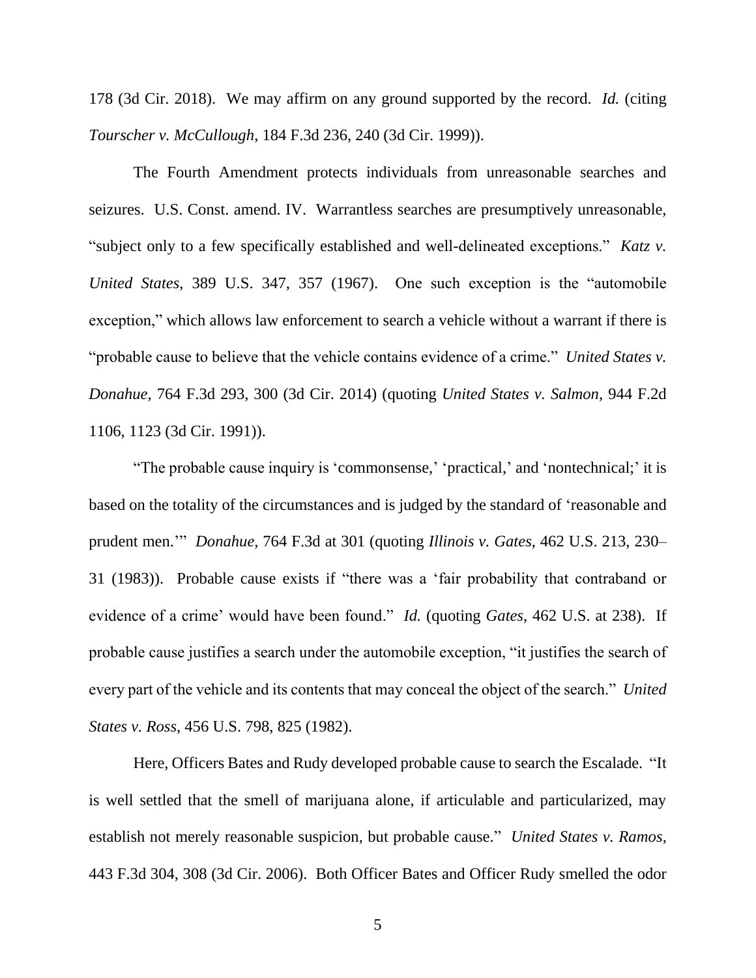178 (3d Cir. 2018). We may affirm on any ground supported by the record. *Id.* (citing *Tourscher v. McCullough*, 184 F.3d 236, 240 (3d Cir. 1999)).

The Fourth Amendment protects individuals from unreasonable searches and seizures. U.S. Const. amend. IV. Warrantless searches are presumptively unreasonable, "subject only to a few specifically established and well-delineated exceptions." *Katz v. United States*, 389 U.S. 347, 357 (1967). One such exception is the "automobile exception," which allows law enforcement to search a vehicle without a warrant if there is "probable cause to believe that the vehicle contains evidence of a crime." *United States v. Donahue*, 764 F.3d 293, 300 (3d Cir. 2014) (quoting *United States v. Salmon*, 944 F.2d 1106, 1123 (3d Cir. 1991)).

"The probable cause inquiry is 'commonsense,' 'practical,' and 'nontechnical;' it is based on the totality of the circumstances and is judged by the standard of 'reasonable and prudent men.'" *Donahue*, 764 F.3d at 301 (quoting *Illinois v. Gates*, 462 U.S. 213, 230– 31 (1983)). Probable cause exists if "there was a 'fair probability that contraband or evidence of a crime' would have been found." *Id.* (quoting *Gates*, 462 U.S. at 238). If probable cause justifies a search under the automobile exception, "it justifies the search of every part of the vehicle and its contents that may conceal the object of the search." *United States v. Ross*, 456 U.S. 798, 825 (1982).

Here, Officers Bates and Rudy developed probable cause to search the Escalade. "It is well settled that the smell of marijuana alone, if articulable and particularized, may establish not merely reasonable suspicion, but probable cause." *United States v. Ramos*, 443 F.3d 304, 308 (3d Cir. 2006). Both Officer Bates and Officer Rudy smelled the odor